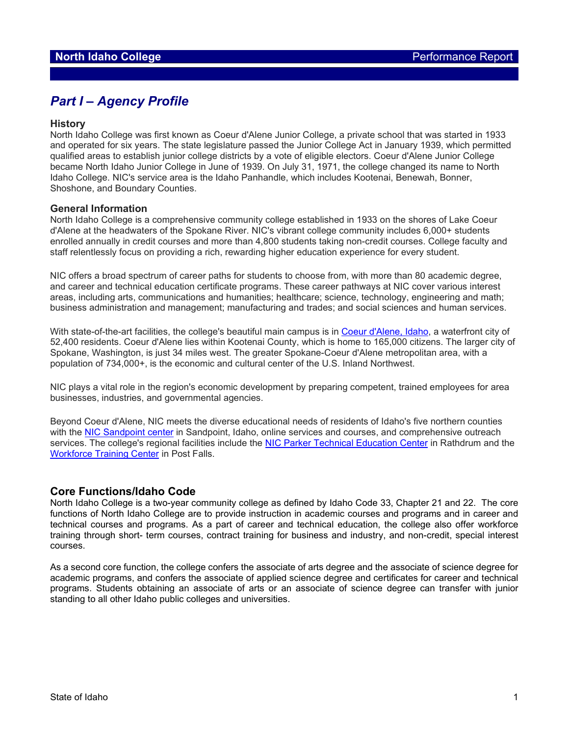# *Part I – Agency Profile*

### **History**

North Idaho College was first known as Coeur d'Alene Junior College, a private school that was started in 1933 and operated for six years. The state legislature passed the Junior College Act in January 1939, which permitted qualified areas to establish junior college districts by a vote of eligible electors. Coeur d'Alene Junior College became North Idaho Junior College in June of 1939. On July 31, 1971, the college changed its name to North Idaho College. NIC's service area is the Idaho Panhandle, which includes Kootenai, Benewah, Bonner, Shoshone, and Boundary Counties.

### **General Information**

North Idaho College is a comprehensive community college established in 1933 on the shores of Lake Coeur d'Alene at the headwaters of the Spokane River. NIC's vibrant college community includes 6,000+ students enrolled annually in credit courses and more than 4,800 students taking non-credit courses. College faculty and staff relentlessly focus on providing a rich, rewarding higher education experience for every student.

NIC offers a broad spectrum of career paths for students to choose from, with more than 80 academic degree, and career and technical education certificate programs. These career pathways at NIC cover various interest areas, including arts, communications and humanities; healthcare; science, technology, engineering and math; business administration and management; manufacturing and trades; and social sciences and human services.

With state-of-the-art facilities, the college's beautiful main campus is in [Coeur d'Alene, Idaho,](https://www.coeurdalene.org/) a waterfront city of 52,400 residents. Coeur d'Alene lies within Kootenai County, which is home to 165,000 citizens. The larger city of Spokane, Washington, is just 34 miles west. The greater Spokane-Coeur d'Alene metropolitan area, with a population of 734,000+, is the economic and cultural center of the U.S. Inland Northwest.

NIC plays a vital role in the region's economic development by preparing competent, trained employees for area businesses, industries, and governmental agencies.

Beyond Coeur d'Alene, NIC meets the diverse educational needs of residents of Idaho's five northern counties with the [NIC Sandpoint center](https://www.nic.edu/sandpoint/) in Sandpoint, Idaho, online services and courses, and comprehensive outreach services. The college's regional facilities include the [NIC Parker Technical Education Center](https://www.nic.edu/ptec/) in Rathdrum and the [Workforce Training Center](https://www.nic.edu/wtc/) in Post Falls.

### **Core Functions/Idaho Code**

North Idaho College is a two-year community college as defined by Idaho Code 33, Chapter 21 and 22. The core functions of North Idaho College are to provide instruction in academic courses and programs and in career and technical courses and programs. As a part of career and technical education, the college also offer workforce training through short- term courses, contract training for business and industry, and non-credit, special interest courses.

As a second core function, the college confers the associate of arts degree and the associate of science degree for academic programs, and confers the associate of applied science degree and certificates for career and technical programs. Students obtaining an associate of arts or an associate of science degree can transfer with junior standing to all other Idaho public colleges and universities.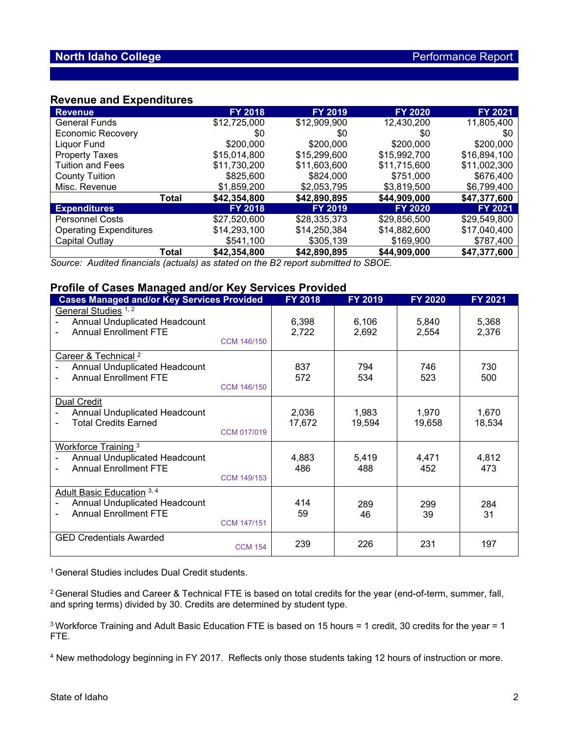## **Revenue and Expenditures**

| <b>Revenue</b>                |       | <b>FY 2018</b> | <b>FY 2019</b> | <b>FY 2020</b> | <b>FY 2021</b> |
|-------------------------------|-------|----------------|----------------|----------------|----------------|
| <b>General Funds</b>          |       | \$12,725,000   | \$12,909,900   | 12,430,200     | 11,805,400     |
| <b>Economic Recovery</b>      |       | \$0            | \$0            | \$0            | \$0            |
| Liquor Fund                   |       | \$200,000      | \$200,000      | \$200,000      | \$200,000      |
| <b>Property Taxes</b>         |       | \$15,014,800   | \$15,299,600   | \$15,992,700   | \$16,894,100   |
| <b>Tuition and Fees</b>       |       | \$11,730,200   | \$11,603,600   | \$11,715,600   | \$11,002,300   |
| <b>County Tuition</b>         |       | \$825,600      | \$824,000      | \$751,000      | \$676,400      |
| Misc. Revenue                 |       | \$1,859,200    | \$2,053,795    | \$3,819,500    | \$6,799,400    |
|                               | Total | \$42,354,800   | \$42,890,895   | \$44,909,000   | \$47,377,600   |
| <b>Expenditures</b>           |       | <b>FY 2018</b> | <b>FY 2019</b> | <b>FY 2020</b> | <b>FY 2021</b> |
| <b>Personnel Costs</b>        |       | \$27,520,600   | \$28,335,373   | \$29,856,500   | \$29,549,800   |
| <b>Operating Expenditures</b> |       | \$14,293,100   | \$14,250,384   | \$14,882,600   | \$17,040,400   |
| Capital Outlay                |       | \$541,100      | \$305,139      | \$169,900      | \$787,400      |
|                               | Total | \$42,354,800   | \$42,890,895   | \$44,909,000   | \$47,377,600   |

*Source: Audited financials (actuals) as stated on the B2 report submitted to SBOE.*

## **Profile of Cases Managed and/or Key Services Provided**

| <b>191110 of Guoco munuaged and/or rey Gorviceo Frovided</b><br><b>Cases Managed and/or Key Services Provided</b>      | <b>FY 2018</b>  | <b>FY 2019</b>  | <b>FY 2020</b>  | FY 2021         |
|------------------------------------------------------------------------------------------------------------------------|-----------------|-----------------|-----------------|-----------------|
| General Studies 1, 2<br>Annual Unduplicated Headcount<br><b>Annual Enrollment FTE</b><br><b>CCM 146/150</b>            | 6,398<br>2,722  | 6,106<br>2,692  | 5,840<br>2,554  | 5,368<br>2,376  |
| Career & Technical <sup>2</sup><br>Annual Unduplicated Headcount<br><b>Annual Enrollment FTE</b><br><b>CCM 146/150</b> | 837<br>572      | 794<br>534      | 746<br>523      | 730<br>500      |
| <b>Dual Credit</b><br>Annual Unduplicated Headcount<br><b>Total Credits Earned</b><br>CCM 017/019                      | 2,036<br>17,672 | 1,983<br>19,594 | 1,970<br>19,658 | 1,670<br>18,534 |
| <b>Workforce Training 3</b><br>Annual Unduplicated Headcount<br><b>Annual Enrollment FTE</b><br><b>CCM 149/153</b>     | 4,883<br>486    | 5,419<br>488    | 4,471<br>452    | 4,812<br>473    |
| Adult Basic Education 3, 4<br>Annual Unduplicated Headcount<br><b>Annual Enrollment FTE</b><br><b>CCM 147/151</b>      | 414<br>59       | 289<br>46       | 299<br>39       | 284<br>31       |
| <b>GED Credentials Awarded</b><br><b>CCM 154</b>                                                                       | 239             | 226             | 231             | 197             |

<sup>1</sup> General Studies includes Dual Credit students.

2 General Studies and Career & Technical FTE is based on total credits for the year (end-of-term, summer, fall, and spring terms) divided by 30. Credits are determined by student type.

<sup>3</sup> Workforce Training and Adult Basic Education FTE is based on 15 hours = 1 credit, 30 credits for the year = 1 FTE.

<sup>4</sup> New methodology beginning in FY 2017. Reflects only those students taking 12 hours of instruction or more.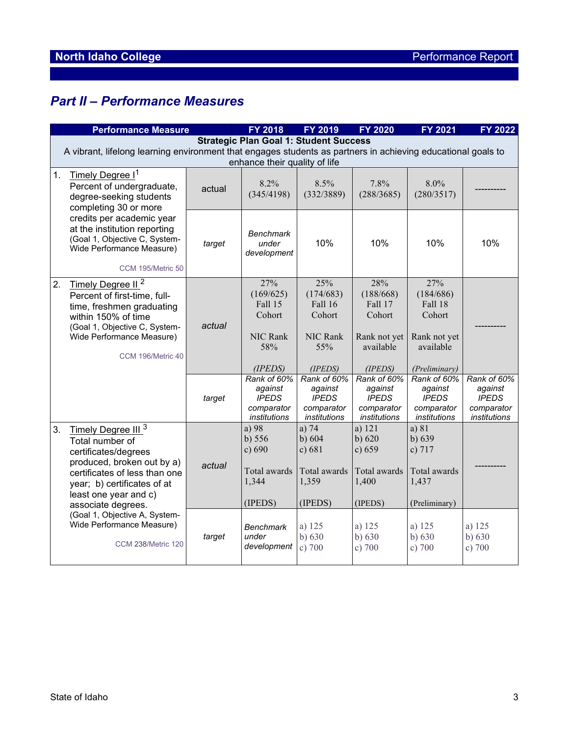# *Part II – Performance Measures*

|                  | <b>Performance Measure</b>                                                                                                                                                                                                                                    |        | FY 2018                                                              | FY 2019                                                                    | <b>FY 2020</b>                                                                | FY 2021                                                                                    | FY 2022                                                              |  |  |
|------------------|---------------------------------------------------------------------------------------------------------------------------------------------------------------------------------------------------------------------------------------------------------------|--------|----------------------------------------------------------------------|----------------------------------------------------------------------------|-------------------------------------------------------------------------------|--------------------------------------------------------------------------------------------|----------------------------------------------------------------------|--|--|
|                  | <b>Strategic Plan Goal 1: Student Success</b><br>A vibrant, lifelong learning environment that engages students as partners in achieving educational goals to<br>enhance their quality of life                                                                |        |                                                                      |                                                                            |                                                                               |                                                                                            |                                                                      |  |  |
| 1.               | Timely Degree I <sup>1</sup><br>Percent of undergraduate,<br>degree-seeking students<br>completing 30 or more<br>credits per academic year<br>at the institution reporting<br>(Goal 1, Objective C, System-<br>Wide Performance Measure)<br>CCM 195/Metric 50 | actual | 8.2%<br>(345/4198)                                                   | 8.5%<br>(332/3889)                                                         | 7.8%<br>(288/3685)                                                            | 8.0%<br>(280/3517)                                                                         |                                                                      |  |  |
|                  |                                                                                                                                                                                                                                                               | target | <b>Benchmark</b><br>under<br>development                             | 10%                                                                        | 10%                                                                           | 10%                                                                                        | 10%                                                                  |  |  |
| $\overline{2}$ . | Timely Degree II <sup>2</sup><br>Percent of first-time, full-<br>time, freshmen graduating<br>within 150% of time<br>(Goal 1, Objective C, System-<br>Wide Performance Measure)<br>CCM 196/Metric 40                                                          | actual | 27%<br>(169/625)<br>Fall 15<br>Cohort<br>NIC Rank<br>58%<br>(IPEDS)  | 25%<br>(174/683)<br>Fall 16<br>Cohort<br><b>NIC Rank</b><br>55%<br>(IPEDS) | 28%<br>(188/668)<br>Fall 17<br>Cohort<br>Rank not yet<br>available<br>(IPEDS) | 27%<br>(184/686)<br>Fall 18<br>Cohort<br>Rank not yet<br>available<br><i>(Preliminary)</i> |                                                                      |  |  |
|                  |                                                                                                                                                                                                                                                               | target | Rank of 60%<br>against<br><b>IPEDS</b><br>comparator<br>institutions | Rank of 60%<br>against<br><b>IPEDS</b><br>comparator<br>institutions       | Rank of 60%<br>against<br><b>IPEDS</b><br>comparator<br>institutions          | Rank of 60%<br>against<br><b>IPEDS</b><br>comparator<br>institutions                       | Rank of 60%<br>against<br><b>IPEDS</b><br>comparator<br>institutions |  |  |
| 3.               | Timely Degree III <sup>3</sup><br>Total number of<br>certificates/degrees<br>produced, broken out by a)<br>certificates of less than one<br>year; b) certificates of at<br>least one year and c)<br>associate degrees.                                        | actual | a) 98<br>b) 556<br>c) 690<br>Total awards<br>1,344<br>(IPEDS)        | a) $74$<br>b) $604$<br>c) 681<br>Total awards<br>1,359<br>(IPEDS)          | a) 121<br>$b)$ 620<br>c) 659<br>Total awards<br>1,400<br>(IPEDS)              | a) 81<br>b) 639<br>c) $717$<br>Total awards<br>1,437<br>(Preliminary)                      |                                                                      |  |  |
|                  | (Goal 1, Objective A, System-<br>Wide Performance Measure)<br><b>CCM 238/Metric 120</b>                                                                                                                                                                       | target | <b>Benchmark</b><br>under<br>development                             | a) 125<br>b) $630$<br>c) $700$                                             | a) 125<br>b) $630$<br>c) 700                                                  | a) 125<br>b) $630$<br>c) 700                                                               | a) 125<br>b) $630$<br>c) 700                                         |  |  |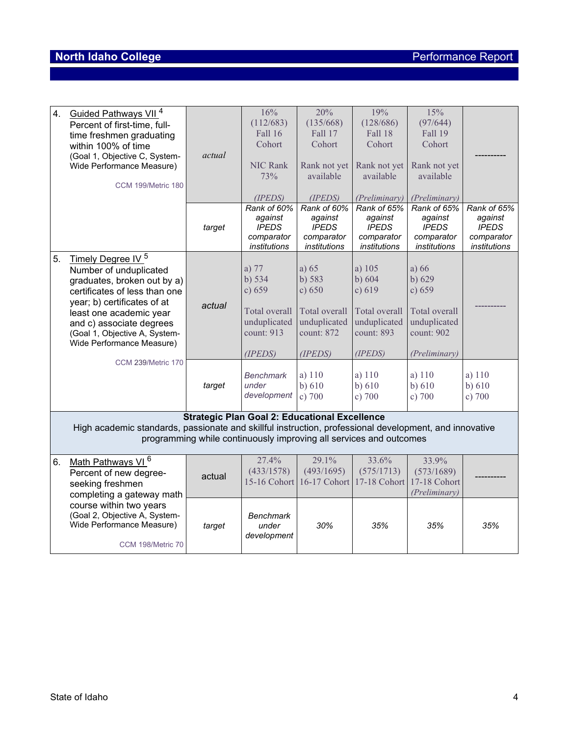# **North Idaho College Performance Report**

| 4.                                                                                                                                                                           | Guided Pathways VII <sup>4</sup><br>Percent of first-time, full-<br>time freshmen graduating<br>within 100% of time<br>(Goal 1, Objective C, System-<br>Wide Performance Measure)<br>CCM 199/Metric 180                                                                                                  | actual | 16%<br>(112/683)<br>Fall 16<br>Cohort<br><b>NIC Rank</b><br>73%<br>(IPEDS)                              | 20%<br>(135/668)<br>Fall 17<br>Cohort<br>Rank not yet<br>available<br>(IPEDS)                   | 19%<br>(128/686)<br><b>Fall 18</b><br>Cohort<br>Rank not yet<br>available<br>(Preliminary)       | 15%<br>(97/644)<br>Fall 19<br>Cohort<br>Rank not yet<br>available<br><i>(Preliminary)</i>               |                                                                      |
|------------------------------------------------------------------------------------------------------------------------------------------------------------------------------|----------------------------------------------------------------------------------------------------------------------------------------------------------------------------------------------------------------------------------------------------------------------------------------------------------|--------|---------------------------------------------------------------------------------------------------------|-------------------------------------------------------------------------------------------------|--------------------------------------------------------------------------------------------------|---------------------------------------------------------------------------------------------------------|----------------------------------------------------------------------|
|                                                                                                                                                                              |                                                                                                                                                                                                                                                                                                          | target | Rank of 60%<br>against<br><b>IPEDS</b><br>comparator<br>institutions                                    | Rank of 60%<br>against<br><b>IPEDS</b><br>comparator<br>institutions                            | Rank of 65%<br>against<br><b>IPEDS</b><br>comparator<br>institutions                             | Rank of 65%<br>against<br><b>IPEDS</b><br>comparator<br>institutions                                    | Rank of 65%<br>against<br><b>IPEDS</b><br>comparator<br>institutions |
| 5.                                                                                                                                                                           | Timely Degree IV <sup>5</sup><br>Number of unduplicated<br>graduates, broken out by a)<br>certificates of less than one<br>year; b) certificates of at<br>least one academic year<br>and c) associate degrees<br>(Goal 1, Objective A, System-<br>Wide Performance Measure)<br><b>CCM 239/Metric 170</b> | actual | a) 77<br>b) 534<br>c) 659<br>Total overall<br>unduplicated<br>count: 913<br>(IPEDS)<br><b>Benchmark</b> | a) $65$<br>b) 583<br>c) 650<br>Total overall<br>unduplicated<br>count: 872<br>(IPEDS)<br>a) 110 | a) 105<br>$b)$ 604<br>c) 619<br>Total overall<br>unduplicated<br>count: 893<br>(IPEDS)<br>a) 110 | a) $66$<br>$b)$ 629<br>c) 659<br>Total overall<br>unduplicated<br>count: 902<br>(Preliminary)<br>a) 110 | a) 110                                                               |
|                                                                                                                                                                              |                                                                                                                                                                                                                                                                                                          | target | under<br>development                                                                                    | b) $610$<br>c) 700                                                                              | $b)$ 610<br>c) 700                                                                               | b) 610<br>c) 700                                                                                        | b) 610<br>c) $700$                                                   |
|                                                                                                                                                                              |                                                                                                                                                                                                                                                                                                          |        | <b>Strategic Plan Goal 2: Educational Excellence</b>                                                    |                                                                                                 |                                                                                                  |                                                                                                         |                                                                      |
| High academic standards, passionate and skillful instruction, professional development, and innovative<br>programming while continuously improving all services and outcomes |                                                                                                                                                                                                                                                                                                          |        |                                                                                                         |                                                                                                 |                                                                                                  |                                                                                                         |                                                                      |
| 6.                                                                                                                                                                           | Math Pathways VI <sup>6</sup><br>Percent of new degree-<br>seeking freshmen<br>completing a gateway math                                                                                                                                                                                                 | actual | 27.4%<br>(433/1578)<br>15-16 Cohort                                                                     | 29.1%<br>(493/1695)                                                                             | 33.6%<br>(575/1713)<br>16-17 Cohort 17-18 Cohort                                                 | 33.9%<br>(573/1689)<br>17-18 Cohort<br>(Preliminary)                                                    |                                                                      |
|                                                                                                                                                                              | course within two years<br>(Goal 2, Objective A, System-<br>Wide Performance Measure)<br>CCM 198/Metric 70                                                                                                                                                                                               | target | <b>Benchmark</b><br>under<br>development                                                                | 30%                                                                                             | 35%                                                                                              | 35%                                                                                                     | 35%                                                                  |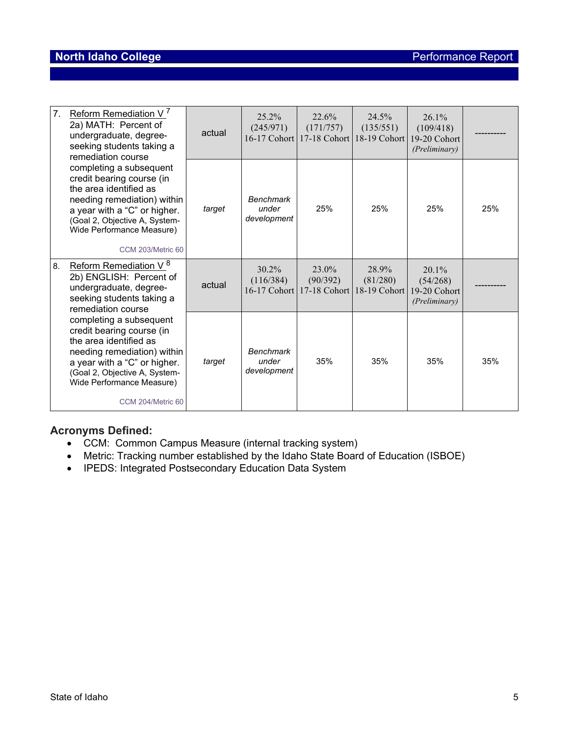## **North Idaho College Performance Report**

| 7.<br>Reform Remediation V <sup>'</sup><br>2a) MATH: Percent of<br>undergraduate, degree-<br>seeking students taking a<br>remediation course                                                                                            | actual | $25.2\%$<br>(245/971)                    | 22.6%<br>(171/757)<br>16-17 Cohort 17-18 Cohort   | 24.5%<br>(135/551)<br>18-19 Cohort | $26.1\%$<br>(109/418)<br>19-20 Cohort<br>(Preliminary) |     |
|-----------------------------------------------------------------------------------------------------------------------------------------------------------------------------------------------------------------------------------------|--------|------------------------------------------|---------------------------------------------------|------------------------------------|--------------------------------------------------------|-----|
| completing a subsequent<br>credit bearing course (in<br>the area identified as<br>needing remediation) within<br>a year with a "C" or higher.<br>(Goal 2, Objective A, System-<br>Wide Performance Measure)<br><b>CCM 203/Metric 60</b> | target | <b>Benchmark</b><br>under<br>development | 25%                                               | 25%                                | 25%                                                    | 25% |
| Reform Remediation V <sup>8</sup><br>8.<br>2b) ENGLISH: Percent of<br>undergraduate, degree-<br>seeking students taking a<br>remediation course                                                                                         | actual | $30.2\%$<br>(116/384)                    | $23.0\%$<br>(90/392)<br>16-17 Cohort 17-18 Cohort | 28.9%<br>(81/280)<br>18-19 Cohort  | $20.1\%$<br>(54/268)<br>19-20 Cohort<br>(Preliminary)  |     |
| completing a subsequent<br>credit bearing course (in<br>the area identified as<br>needing remediation) within<br>a year with a "C" or higher.<br>(Goal 2, Objective A, System-<br>Wide Performance Measure)<br>CCM 204/Metric 60        | target | <b>Benchmark</b><br>under<br>development | 35%                                               | 35%                                | 35%                                                    | 35% |

## **Acronyms Defined:**

- CCM: Common Campus Measure (internal tracking system)
- Metric: Tracking number established by the Idaho State Board of Education (ISBOE)
- IPEDS: Integrated Postsecondary Education Data System